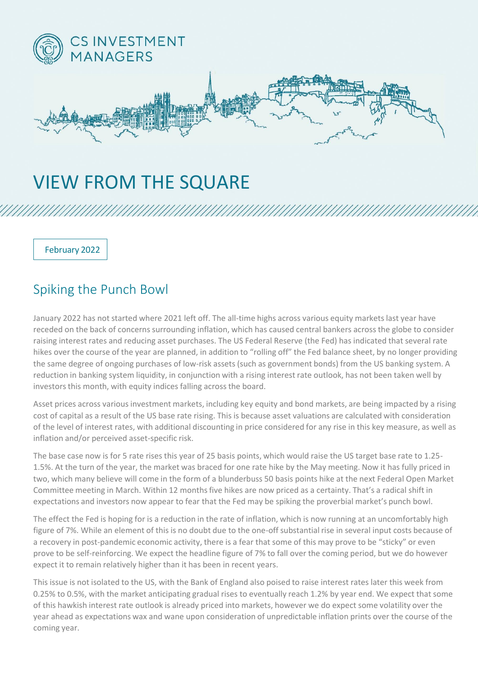

## VIEW FROM THE SQUARE

February 2022

## Spiking the Punch Bowl

January 2022 has not started where 2021 left off. The all-time highs across various equity markets last year have receded on the back of concerns surrounding inflation, which has caused central bankers across the globe to consider raising interest rates and reducing asset purchases. The US Federal Reserve (the Fed) has indicated that several rate hikes over the course of the year are planned, in addition to "rolling off" the Fed balance sheet, by no longer providing the same degree of ongoing purchases of low-risk assets (such as government bonds) from the US banking system. A reduction in banking system liquidity, in conjunction with a rising interest rate outlook, has not been taken well by investors this month, with equity indices falling across the board.

Asset prices across various investment markets, including key equity and bond markets, are being impacted by a rising cost of capital as a result of the US base rate rising. This is because asset valuations are calculated with consideration of the level of interest rates, with additional discounting in price considered for any rise in this key measure, as well as inflation and/or perceived asset-specific risk.

The base case now is for 5 rate rises this year of 25 basis points, which would raise the US target base rate to 1.25- 1.5%. At the turn of the year, the market was braced for one rate hike by the May meeting. Now it has fully priced in two, which many believe will come in the form of a blunderbuss 50 basis points hike at the next Federal Open Market Committee meeting in March. Within 12 months five hikes are now priced as a certainty. That's a radical shift in expectations and investors now appear to fear that the Fed may be spiking the proverbial market's punch bowl.

The effect the Fed is hoping for is a reduction in the rate of inflation, which is now running at an uncomfortably high figure of 7%. While an element of this is no doubt due to the one-off substantial rise in several input costs because of a recovery in post-pandemic economic activity, there is a fear that some of this may prove to be "sticky" or even prove to be self-reinforcing. We expect the headline figure of 7% to fall over the coming period, but we do however expect it to remain relatively higher than it has been in recent years.

This issue is not isolated to the US, with the Bank of England also poised to raise interest rates later this week from 0.25% to 0.5%, with the market anticipating gradual rises to eventually reach 1.2% by year end. We expect that some of this hawkish interest rate outlook is already priced into markets, however we do expect some volatility over the year ahead as expectations wax and wane upon consideration of unpredictable inflation prints over the course of the coming year.